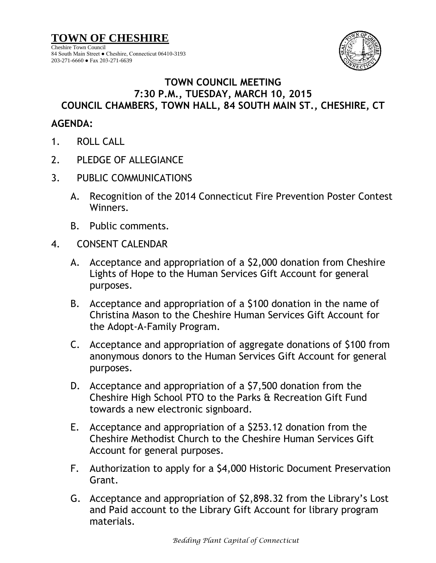**TOWN OF CHESHIRE** Cheshire Town Council 84 South Main Street ● Cheshire, Connecticut 06410-3193 203-271-6660 ● Fax 203-271-6639



## **TOWN COUNCIL MEETING 7:30 P.M., TUESDAY, MARCH 10, 2015 COUNCIL CHAMBERS, TOWN HALL, 84 SOUTH MAIN ST., CHESHIRE, CT**

## **AGENDA:**

- 1. ROLL CALL
- 2. PLEDGE OF ALLEGIANCE
- 3. PUBLIC COMMUNICATIONS
	- A. Recognition of the 2014 Connecticut Fire Prevention Poster Contest Winners.
	- B. Public comments.
- 4. CONSENT CALENDAR
	- A. Acceptance and appropriation of a \$2,000 donation from Cheshire Lights of Hope to the Human Services Gift Account for general purposes.
	- B. Acceptance and appropriation of a \$100 donation in the name of Christina Mason to the Cheshire Human Services Gift Account for the Adopt-A-Family Program.
	- C. Acceptance and appropriation of aggregate donations of \$100 from anonymous donors to the Human Services Gift Account for general purposes.
	- D. Acceptance and appropriation of a \$7,500 donation from the Cheshire High School PTO to the Parks & Recreation Gift Fund towards a new electronic signboard.
	- E. Acceptance and appropriation of a \$253.12 donation from the Cheshire Methodist Church to the Cheshire Human Services Gift Account for general purposes.
	- F. Authorization to apply for a \$4,000 Historic Document Preservation Grant.
	- G. Acceptance and appropriation of \$2,898.32 from the Library's Lost and Paid account to the Library Gift Account for library program materials.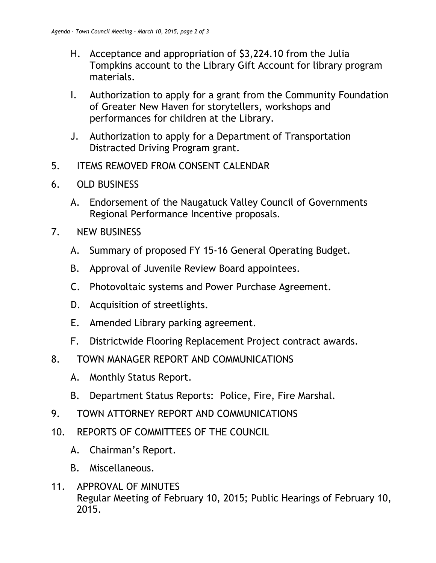- H. Acceptance and appropriation of \$3,224.10 from the Julia Tompkins account to the Library Gift Account for library program materials.
- I. Authorization to apply for a grant from the Community Foundation of Greater New Haven for storytellers, workshops and performances for children at the Library.
- J. Authorization to apply for a Department of Transportation Distracted Driving Program grant.
- 5. ITEMS REMOVED FROM CONSENT CALENDAR
- 6. OLD BUSINESS
	- A. Endorsement of the Naugatuck Valley Council of Governments Regional Performance Incentive proposals.
- 7. NEW BUSINESS
	- A. Summary of proposed FY 15-16 General Operating Budget.
	- B. Approval of Juvenile Review Board appointees.
	- C. Photovoltaic systems and Power Purchase Agreement.
	- D. Acquisition of streetlights.
	- E. Amended Library parking agreement.
	- F. Districtwide Flooring Replacement Project contract awards.
- 8. TOWN MANAGER REPORT AND COMMUNICATIONS
	- A. Monthly Status Report.
	- B. Department Status Reports: Police, Fire, Fire Marshal.
- 9. TOWN ATTORNEY REPORT AND COMMUNICATIONS
- 10. REPORTS OF COMMITTEES OF THE COUNCIL
	- A. Chairman's Report.
	- B. Miscellaneous.
- 11. APPROVAL OF MINUTES Regular Meeting of February 10, 2015; Public Hearings of February 10, 2015.